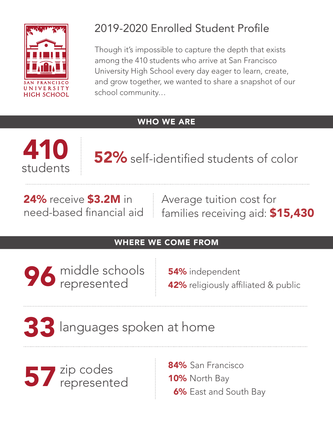

## 2019-2020 Enrolled Student Profile

Though it's impossible to capture the depth that exists among the 410 students who arrive at San Francisco University High School every day eager to learn, create, and grow together, we wanted to share a snapshot of our school community…

### WHO WE ARE



52% self-identified students of color

24% receive \$3.2M in need-based financial aid Average tuition cost for families receiving aid: \$15,430

### WHERE WE COME FROM

96 middle schools<br>represented represented

54% independent **42%** religiously affiliated & public

# 33languages spoken at home

57 zip codes represented 84% San Francisco 10% North Bay 6% East and South Bay